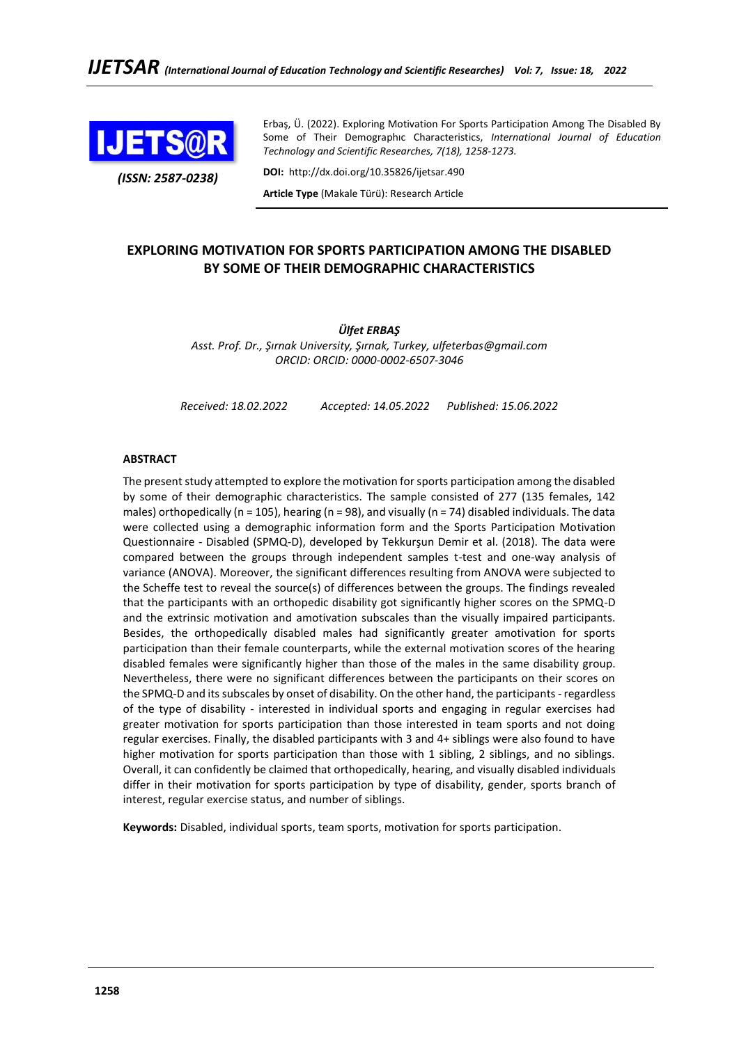

*(ISSN: 2587-0238)*

Erbaş, Ü. (2022). Exploring Motivation For Sports Participation Among The Disabled By Some of Their Demographıc Characteristics, *International Journal of Education Technology and Scientific Researches, 7(18), 1258-1273.*

**DOI:** http://dx.doi.org/10.35826/ijetsar.490

**Article Type** (Makale Türü): Research Article

## **EXPLORING MOTIVATION FOR SPORTS PARTICIPATION AMONG THE DISABLED BY SOME OF THEIR DEMOGRAPHIC CHARACTERISTICS**

*Ülfet ERBAŞ Asst. Prof. Dr., Şırnak University, Şırnak, Turkey, ulfeterbas@gmail.com ORCID: ORCID: 0000-0002-6507-3046*

*Received: 18.02.2022 Accepted: 14.05.2022 Published: 15.06.2022*

#### **ABSTRACT**

The present study attempted to explore the motivation for sports participation among the disabled by some of their demographic characteristics. The sample consisted of 277 (135 females, 142 males) orthopedically (n = 105), hearing (n = 98), and visually (n = 74) disabled individuals. The data were collected using a demographic information form and the Sports Participation Motivation Questionnaire - Disabled (SPMQ-D), developed by Tekkurşun Demir et al. (2018). The data were compared between the groups through independent samples t-test and one-way analysis of variance (ANOVA). Moreover, the significant differences resulting from ANOVA were subjected to the Scheffe test to reveal the source(s) of differences between the groups. The findings revealed that the participants with an orthopedic disability got significantly higher scores on the SPMQ-D and the extrinsic motivation and amotivation subscales than the visually impaired participants. Besides, the orthopedically disabled males had significantly greater amotivation for sports participation than their female counterparts, while the external motivation scores of the hearing disabled females were significantly higher than those of the males in the same disability group. Nevertheless, there were no significant differences between the participants on their scores on the SPMQ-D and its subscales by onset of disability. On the other hand, the participants - regardless of the type of disability - interested in individual sports and engaging in regular exercises had greater motivation for sports participation than those interested in team sports and not doing regular exercises. Finally, the disabled participants with 3 and 4+ siblings were also found to have higher motivation for sports participation than those with 1 sibling, 2 siblings, and no siblings. Overall, it can confidently be claimed that orthopedically, hearing, and visually disabled individuals differ in their motivation for sports participation by type of disability, gender, sports branch of interest, regular exercise status, and number of siblings.

**Keywords:** Disabled, individual sports, team sports, motivation for sports participation.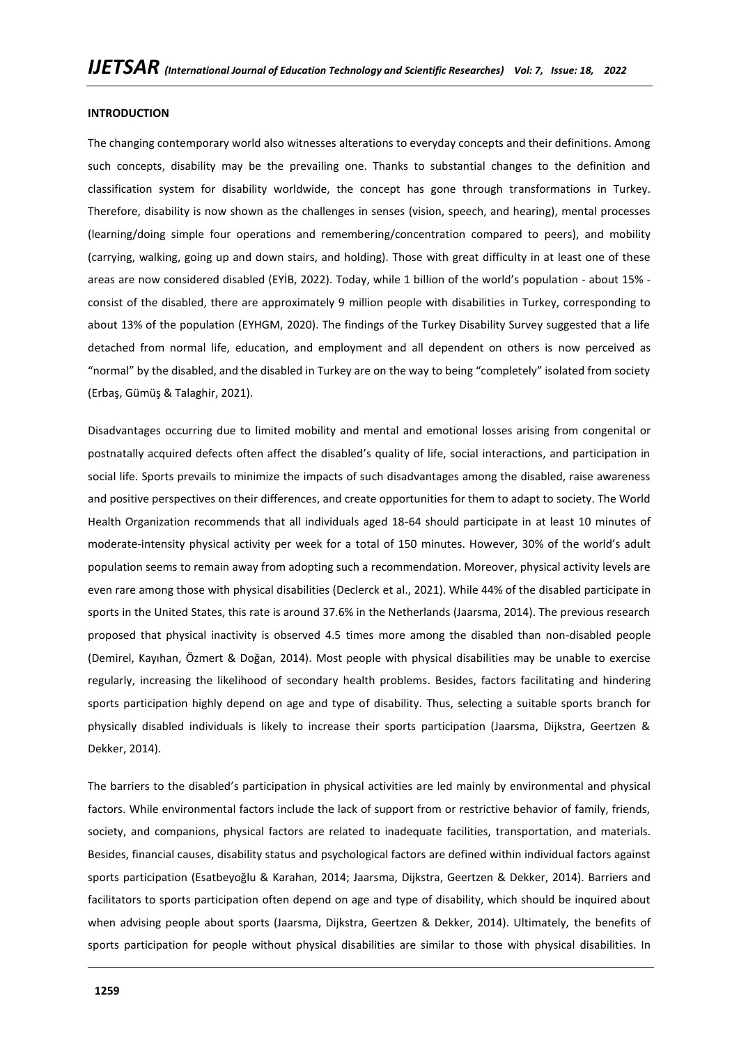#### **INTRODUCTION**

The changing contemporary world also witnesses alterations to everyday concepts and their definitions. Among such concepts, disability may be the prevailing one. Thanks to substantial changes to the definition and classification system for disability worldwide, the concept has gone through transformations in Turkey. Therefore, disability is now shown as the challenges in senses (vision, speech, and hearing), mental processes (learning/doing simple four operations and remembering/concentration compared to peers), and mobility (carrying, walking, going up and down stairs, and holding). Those with great difficulty in at least one of these areas are now considered disabled (EYİB, 2022). Today, while 1 billion of the world's population - about 15% consist of the disabled, there are approximately 9 million people with disabilities in Turkey, corresponding to about 13% of the population (EYHGM, 2020). The findings of the Turkey Disability Survey suggested that a life detached from normal life, education, and employment and all dependent on others is now perceived as "normal" by the disabled, and the disabled in Turkey are on the way to being "completely" isolated from society (Erbaş, Gümüş & Talaghir, 2021).

Disadvantages occurring due to limited mobility and mental and emotional losses arising from congenital or postnatally acquired defects often affect the disabled's quality of life, social interactions, and participation in social life. Sports prevails to minimize the impacts of such disadvantages among the disabled, raise awareness and positive perspectives on their differences, and create opportunities for them to adapt to society. The World Health Organization recommends that all individuals aged 18-64 should participate in at least 10 minutes of moderate-intensity physical activity per week for a total of 150 minutes. However, 30% of the world's adult population seems to remain away from adopting such a recommendation. Moreover, physical activity levels are even rare among those with physical disabilities (Declerck et al., 2021). While 44% of the disabled participate in sports in the United States, this rate is around 37.6% in the Netherlands (Jaarsma, 2014). The previous research proposed that physical inactivity is observed 4.5 times more among the disabled than non-disabled people (Demirel, Kayıhan, Özmert & Doğan, 2014). Most people with physical disabilities may be unable to exercise regularly, increasing the likelihood of secondary health problems. Besides, factors facilitating and hindering sports participation highly depend on age and type of disability. Thus, selecting a suitable sports branch for physically disabled individuals is likely to increase their sports participation (Jaarsma, Dijkstra, Geertzen & Dekker, 2014).

The barriers to the disabled's participation in physical activities are led mainly by environmental and physical factors. While environmental factors include the lack of support from or restrictive behavior of family, friends, society, and companions, physical factors are related to inadequate facilities, transportation, and materials. Besides, financial causes, disability status and psychological factors are defined within individual factors against sports participation (Esatbeyoğlu & Karahan, 2014; Jaarsma, Dijkstra, Geertzen & Dekker, 2014). Barriers and facilitators to sports participation often depend on age and type of disability, which should be inquired about when advising people about sports (Jaarsma, Dijkstra, Geertzen & Dekker, 2014). Ultimately, the benefits of sports participation for people without physical disabilities are similar to those with physical disabilities. In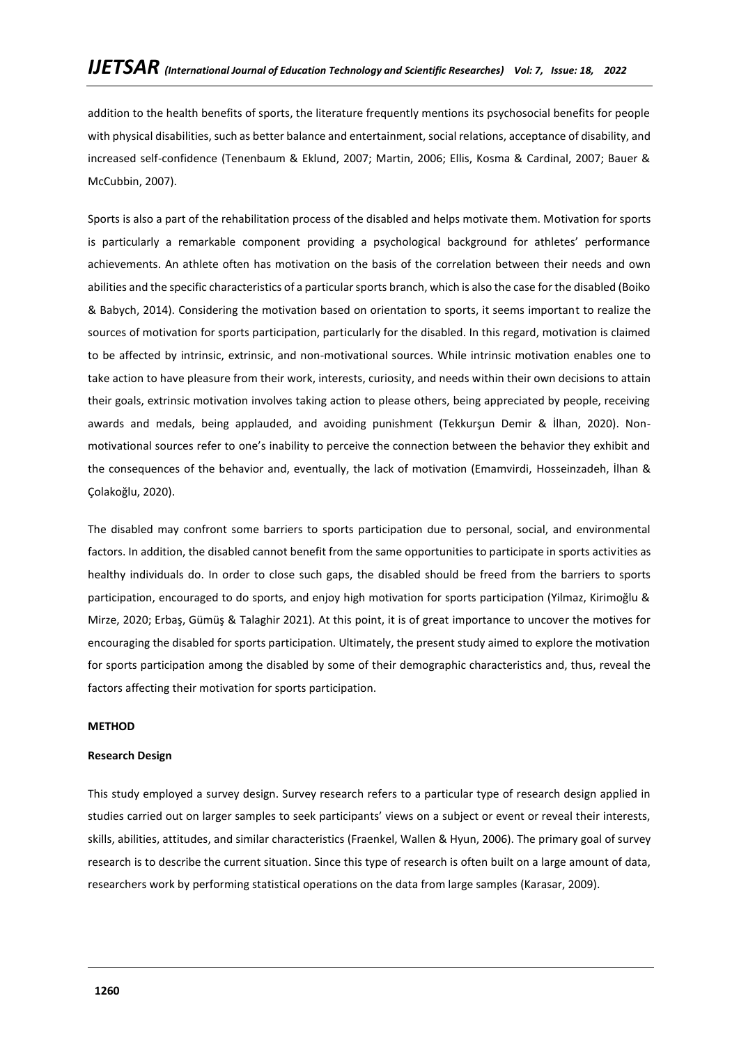addition to the health benefits of sports, the literature frequently mentions its psychosocial benefits for people with physical disabilities, such as better balance and entertainment, social relations, acceptance of disability, and increased self-confidence (Tenenbaum & Eklund, 2007; Martin, 2006; Ellis, Kosma & Cardinal, 2007; Bauer & McCubbin, 2007).

Sports is also a part of the rehabilitation process of the disabled and helps motivate them. Motivation for sports is particularly a remarkable component providing a psychological background for athletes' performance achievements. An athlete often has motivation on the basis of the correlation between their needs and own abilities and the specific characteristics of a particular sports branch, which is also the case for the disabled (Boiko & Babych, 2014). Considering the motivation based on orientation to sports, it seems important to realize the sources of motivation for sports participation, particularly for the disabled. In this regard, motivation is claimed to be affected by intrinsic, extrinsic, and non-motivational sources. While intrinsic motivation enables one to take action to have pleasure from their work, interests, curiosity, and needs within their own decisions to attain their goals, extrinsic motivation involves taking action to please others, being appreciated by people, receiving awards and medals, being applauded, and avoiding punishment (Tekkurşun Demir & İlhan, 2020). Nonmotivational sources refer to one's inability to perceive the connection between the behavior they exhibit and the consequences of the behavior and, eventually, the lack of motivation (Emamvirdi, Hosseinzadeh, İlhan & Çolakoğlu, 2020).

The disabled may confront some barriers to sports participation due to personal, social, and environmental factors. In addition, the disabled cannot benefit from the same opportunities to participate in sports activities as healthy individuals do. In order to close such gaps, the disabled should be freed from the barriers to sports participation, encouraged to do sports, and enjoy high motivation for sports participation (Yilmaz, Kirimoğlu & Mirze, 2020; Erbaş, Gümüş & Talaghir 2021). At this point, it is of great importance to uncover the motives for encouraging the disabled for sports participation. Ultimately, the present study aimed to explore the motivation for sports participation among the disabled by some of their demographic characteristics and, thus, reveal the factors affecting their motivation for sports participation.

## **METHOD**

## **Research Design**

This study employed a survey design. Survey research refers to a particular type of research design applied in studies carried out on larger samples to seek participants' views on a subject or event or reveal their interests, skills, abilities, attitudes, and similar characteristics (Fraenkel, Wallen & Hyun, 2006). The primary goal of survey research is to describe the current situation. Since this type of research is often built on a large amount of data, researchers work by performing statistical operations on the data from large samples (Karasar, 2009).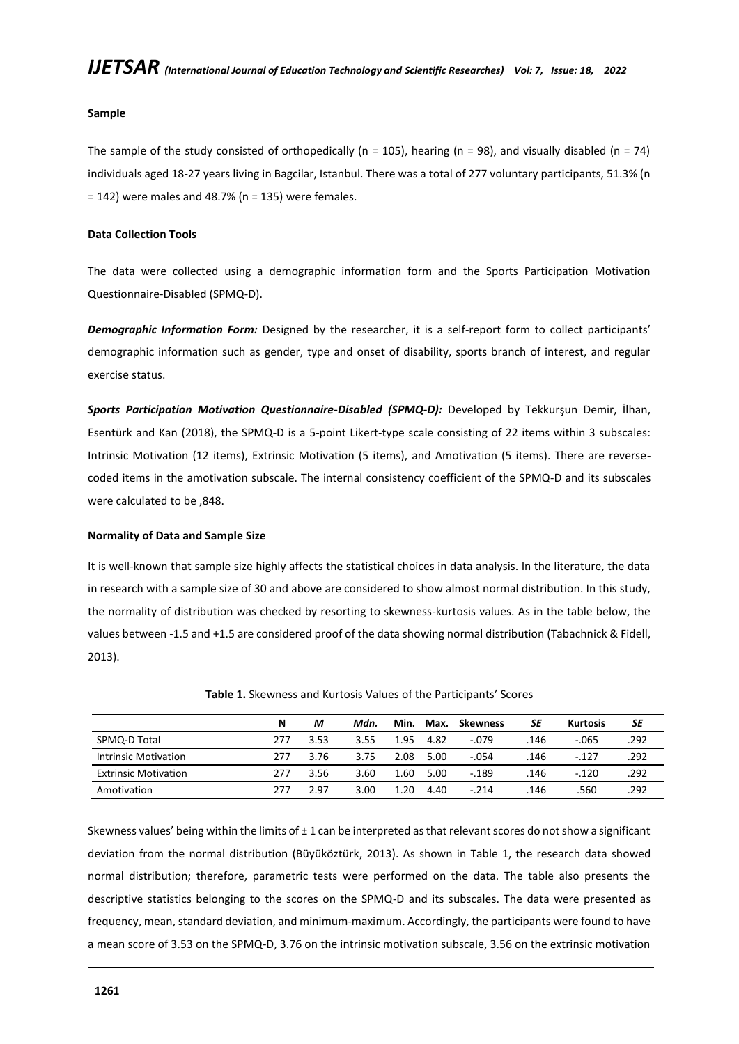#### **Sample**

The sample of the study consisted of orthopedically ( $n = 105$ ), hearing ( $n = 98$ ), and visually disabled ( $n = 74$ ) individuals aged 18-27 years living in Bagcilar, Istanbul. There was a total of 277 voluntary participants, 51.3% (n  $= 142$ ) were males and 48.7% (n = 135) were females.

#### **Data Collection Tools**

The data were collected using a demographic information form and the Sports Participation Motivation Questionnaire-Disabled (SPMQ-D).

*Demographic Information Form:* Designed by the researcher, it is a self-report form to collect participants' demographic information such as gender, type and onset of disability, sports branch of interest, and regular exercise status.

*Sports Participation Motivation Questionnaire-Disabled (SPMQ-D):* Developed by Tekkurşun Demir, İlhan, Esentürk and Kan (2018), the SPMQ-D is a 5-point Likert-type scale consisting of 22 items within 3 subscales: Intrinsic Motivation (12 items), Extrinsic Motivation (5 items), and Amotivation (5 items). There are reversecoded items in the amotivation subscale. The internal consistency coefficient of the SPMQ-D and its subscales were calculated to be ,848.

#### **Normality of Data and Sample Size**

It is well-known that sample size highly affects the statistical choices in data analysis. In the literature, the data in research with a sample size of 30 and above are considered to show almost normal distribution. In this study, the normality of distribution was checked by resorting to skewness-kurtosis values. As in the table below, the values between -1.5 and +1.5 are considered proof of the data showing normal distribution (Tabachnick & Fidell, 2013).

|                             | N   | м    | Mdn. | Min. | Max. | <b>Skewness</b> | SE   | <b>Kurtosis</b> | SΕ   |
|-----------------------------|-----|------|------|------|------|-----------------|------|-----------------|------|
| SPMQ-D Total                | 277 | 3.53 | 3.55 | 1.95 | 4.82 | $-.079$         | .146 | $-065$          | .292 |
| <b>Intrinsic Motivation</b> | 277 | 3.76 | 3.75 | 2.08 | 5.00 | $-.054$         | .146 | $-.127$         | 292  |
| <b>Extrinsic Motivation</b> | 277 | 3.56 | 3.60 | 1.60 | 5.00 | $-189$          | .146 | $-.120$         | .292 |
| Amotivation                 | 277 | 297  | 3.00 | 1.20 | 4.40 | $-214$          | 146  | 560.            | 292  |

**Table 1.** Skewness and Kurtosis Values of the Participants' Scores

Skewness values' being within the limits of  $\pm 1$  can be interpreted as that relevant scores do not show a significant deviation from the normal distribution (Büyüköztürk, 2013). As shown in Table 1, the research data showed normal distribution; therefore, parametric tests were performed on the data. The table also presents the descriptive statistics belonging to the scores on the SPMQ-D and its subscales. The data were presented as frequency, mean, standard deviation, and minimum-maximum. Accordingly, the participants were found to have a mean score of 3.53 on the SPMQ-D, 3.76 on the intrinsic motivation subscale, 3.56 on the extrinsic motivation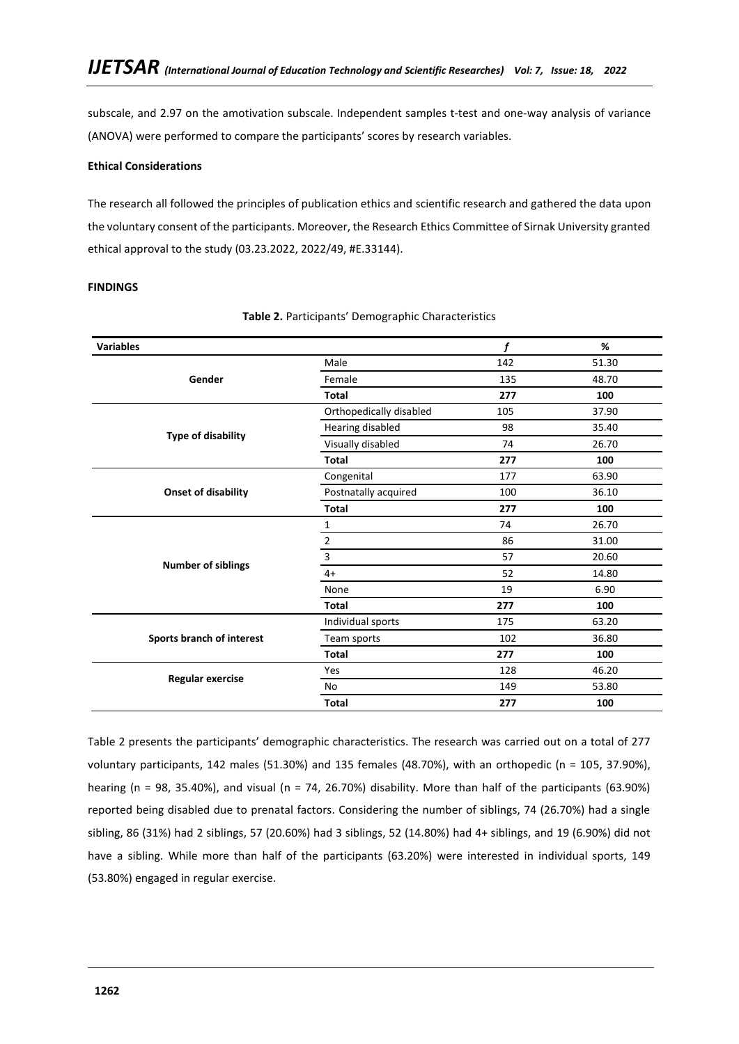subscale, and 2.97 on the amotivation subscale. Independent samples t-test and one-way analysis of variance (ANOVA) were performed to compare the participants' scores by research variables.

## **Ethical Considerations**

The research all followed the principles of publication ethics and scientific research and gathered the data upon the voluntary consent of the participants. Moreover, the Research Ethics Committee of Sirnak University granted ethical approval to the study (03.23.2022, 2022/49, #E.33144).

## **FINDINGS**

| <b>Variables</b>          |                         | f   | %     |
|---------------------------|-------------------------|-----|-------|
|                           | Male                    | 142 | 51.30 |
| Gender                    | Female                  | 135 | 48.70 |
|                           | <b>Total</b>            | 277 | 100   |
|                           | Orthopedically disabled | 105 | 37.90 |
|                           | Hearing disabled        | 98  | 35.40 |
| <b>Type of disability</b> | Visually disabled       | 74  | 26.70 |
|                           | <b>Total</b>            | 277 | 100   |
|                           | Congenital              | 177 | 63.90 |
| Onset of disability       | Postnatally acquired    | 100 | 36.10 |
|                           | <b>Total</b>            | 277 | 100   |
|                           | 1                       | 74  | 26.70 |
|                           | $\overline{2}$          | 86  | 31.00 |
|                           | 3                       | 57  | 20.60 |
| <b>Number of siblings</b> | $4+$                    | 52  | 14.80 |
|                           | None                    | 19  | 6.90  |
|                           | <b>Total</b>            | 277 | 100   |
|                           | Individual sports       | 175 | 63.20 |
| Sports branch of interest | Team sports             | 102 | 36.80 |
|                           | <b>Total</b>            | 277 | 100   |
|                           | Yes                     | 128 | 46.20 |
| <b>Regular exercise</b>   | No                      | 149 | 53.80 |
|                           | <b>Total</b>            | 277 | 100   |

#### **Table 2.** Participants' Demographic Characteristics

Table 2 presents the participants' demographic characteristics. The research was carried out on a total of 277 voluntary participants, 142 males (51.30%) and 135 females (48.70%), with an orthopedic (n = 105, 37.90%), hearing (n = 98, 35.40%), and visual (n = 74, 26.70%) disability. More than half of the participants (63.90%) reported being disabled due to prenatal factors. Considering the number of siblings, 74 (26.70%) had a single sibling, 86 (31%) had 2 siblings, 57 (20.60%) had 3 siblings, 52 (14.80%) had 4+ siblings, and 19 (6.90%) did not have a sibling. While more than half of the participants (63.20%) were interested in individual sports, 149 (53.80%) engaged in regular exercise.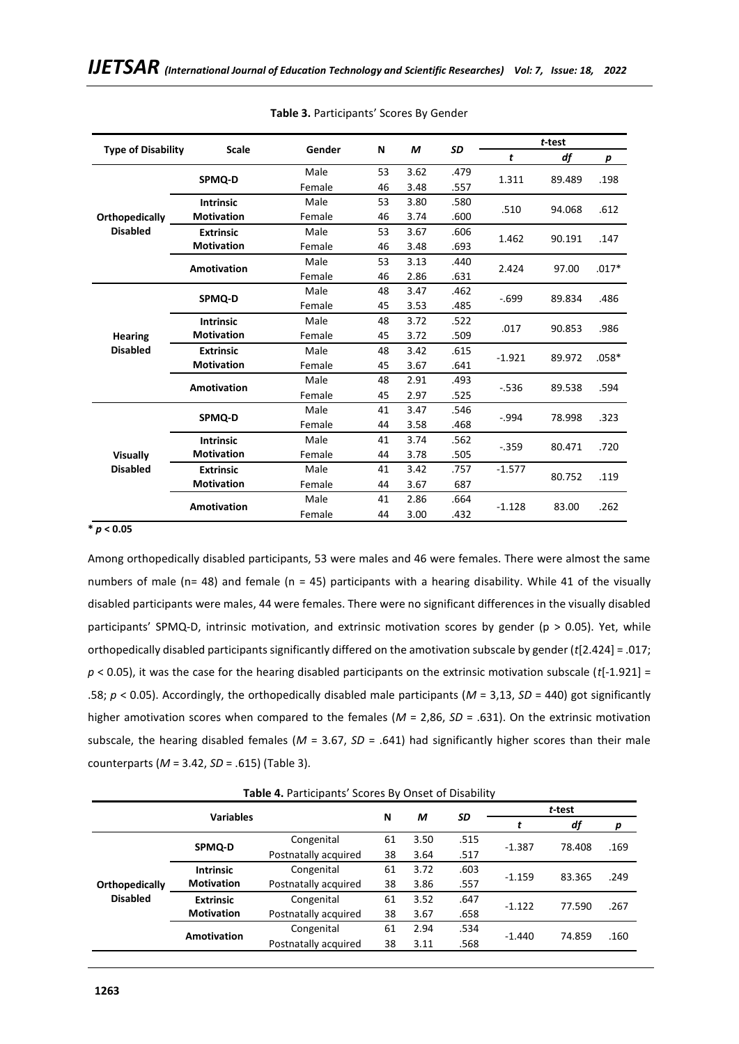|                           |                    |        |    |      |      |          | t-test |         |
|---------------------------|--------------------|--------|----|------|------|----------|--------|---------|
| <b>Type of Disability</b> | <b>Scale</b>       | Gender | N  | M    | SD   | t        | df     | p       |
|                           |                    | Male   | 53 | 3.62 | .479 |          | 89.489 | .198    |
|                           | SPMQ-D             | Female | 46 | 3.48 | .557 | 1.311    |        |         |
| Orthopedically            | <b>Intrinsic</b>   | Male   | 53 | 3.80 | .580 | .510     | 94.068 | .612    |
|                           | <b>Motivation</b>  | Female | 46 | 3.74 | .600 |          |        |         |
| <b>Disabled</b>           | <b>Extrinsic</b>   | Male   | 53 | 3.67 | .606 | 1.462    | 90.191 | .147    |
|                           | <b>Motivation</b>  | Female | 46 | 3.48 | .693 |          |        |         |
|                           | <b>Amotivation</b> | Male   | 53 | 3.13 | .440 | 2.424    | 97.00  | $.017*$ |
|                           |                    | Female | 46 | 2.86 | .631 |          |        |         |
|                           | SPMQ-D             | Male   | 48 | 3.47 | .462 | $-0.699$ | 89.834 | .486    |
|                           |                    | Female | 45 | 3.53 | .485 |          |        |         |
|                           | <b>Intrinsic</b>   | Male   | 48 | 3.72 | .522 | .017     | 90.853 | .986    |
| <b>Hearing</b>            | <b>Motivation</b>  | Female | 45 | 3.72 | .509 |          |        |         |
| <b>Disabled</b>           | <b>Extrinsic</b>   | Male   | 48 | 3.42 | .615 | $-1.921$ | 89.972 | $.058*$ |
|                           | <b>Motivation</b>  | Female | 45 | 3.67 | .641 |          |        |         |
|                           | <b>Amotivation</b> | Male   | 48 | 2.91 | .493 | $-.536$  | 89.538 | .594    |
|                           |                    | Female | 45 | 2.97 | .525 |          |        |         |
|                           | SPMQ-D             | Male   | 41 | 3.47 | .546 | $-.994$  | 78.998 | .323    |
|                           |                    | Female | 44 | 3.58 | .468 |          |        |         |
|                           | <b>Intrinsic</b>   | Male   | 41 | 3.74 | .562 | $-.359$  | 80.471 | .720    |
| Visually                  | <b>Motivation</b>  | Female | 44 | 3.78 | .505 |          |        |         |
| <b>Disabled</b>           | <b>Extrinsic</b>   | Male   | 41 | 3.42 | .757 | $-1.577$ | 80.752 | .119    |
|                           | <b>Motivation</b>  | Female | 44 | 3.67 | 687  |          |        |         |
|                           |                    | Male   | 41 | 2.86 | .664 |          |        | .262    |
|                           | <b>Amotivation</b> | Female | 44 | 3.00 | .432 | $-1.128$ | 83.00  |         |

**Table 3.** Participants' Scores By Gender

#### **\*** *p* **< 0.05**

Among orthopedically disabled participants, 53 were males and 46 were females. There were almost the same numbers of male (n= 48) and female (n = 45) participants with a hearing disability. While 41 of the visually disabled participants were males, 44 were females. There were no significant differences in the visually disabled participants' SPMQ-D, intrinsic motivation, and extrinsic motivation scores by gender (p > 0.05). Yet, while orthopedically disabled participants significantly differed on the amotivation subscale by gender (*t*[2.424] = .017; *p* < 0.05), it was the case for the hearing disabled participants on the extrinsic motivation subscale (*t*[-1.921] = .58; *p* < 0.05). Accordingly, the orthopedically disabled male participants (*M* = 3,13, *SD* = 440) got significantly higher amotivation scores when compared to the females (*M* = 2,86, *SD* = .631). On the extrinsic motivation subscale, the hearing disabled females (*M* = 3.67, *SD* = .641) had significantly higher scores than their male counterparts (*M* = 3.42, *SD* = .615) (Table 3).

**Table 4.** Participants' Scores By Onset of Disability

|                 |                    |                      |    |      |      | t-test   |        |      |  |
|-----------------|--------------------|----------------------|----|------|------|----------|--------|------|--|
|                 | <b>Variables</b>   |                      | N  | М    | SD   |          | df     | р    |  |
|                 | SPMQ-D             | Congenital           | 61 | 3.50 | .515 | $-1.387$ | 78.408 | .169 |  |
|                 |                    | Postnatally acquired | 38 | 3.64 | .517 |          |        |      |  |
|                 | <b>Intrinsic</b>   | Congenital           | 61 | 3.72 | .603 | $-1.159$ | 83.365 | .249 |  |
| Orthopedically  | <b>Motivation</b>  | Postnatally acquired | 38 | 3.86 | .557 |          |        |      |  |
| <b>Disabled</b> | <b>Extrinsic</b>   | Congenital           | 61 | 3.52 | .647 | $-1.122$ | 77.590 | .267 |  |
|                 | <b>Motivation</b>  | Postnatally acquired | 38 | 3.67 | .658 |          |        |      |  |
|                 |                    | Congenital           | 61 | 2.94 | .534 | $-1.440$ | 74.859 | .160 |  |
|                 | <b>Amotivation</b> | Postnatally acquired | 38 | 3.11 | .568 |          |        |      |  |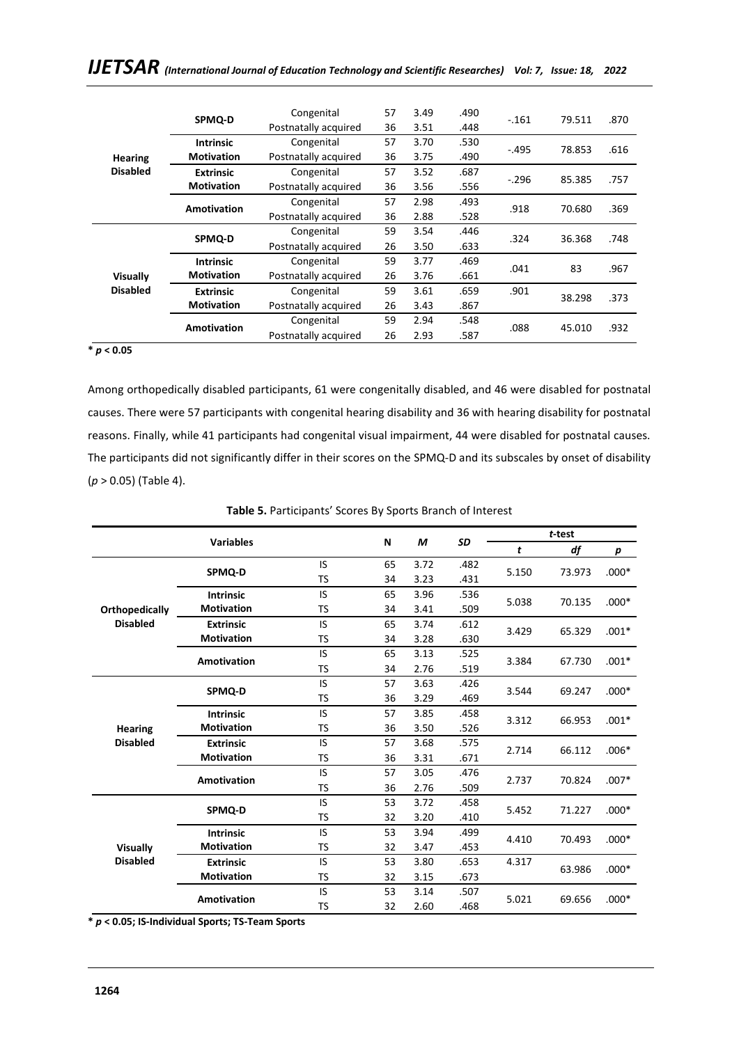|                 |                    | $\mathbf{r} = \mathbf{r}$ and $\mathbf{r}$ and $\mathbf{r}$ and $\mathbf{r}$ and $\mathbf{r}$ and $\mathbf{r}$ and $\mathbf{r}$ and $\mathbf{r}$ and $\mathbf{r}$ and $\mathbf{r}$ and $\mathbf{r}$ and $\mathbf{r}$ and $\mathbf{r}$ and $\mathbf{r}$ and $\mathbf{r}$ and $\mathbf{r}$ and $\mathbf{r$ |    |      |      |         |        |      |
|-----------------|--------------------|----------------------------------------------------------------------------------------------------------------------------------------------------------------------------------------------------------------------------------------------------------------------------------------------------------|----|------|------|---------|--------|------|
|                 |                    |                                                                                                                                                                                                                                                                                                          |    |      |      |         |        |      |
|                 | SPMQ-D             | Congenital                                                                                                                                                                                                                                                                                               | 57 | 3.49 | .490 | $-.161$ | 79.511 | .870 |
|                 |                    | Postnatally acquired                                                                                                                                                                                                                                                                                     | 36 | 3.51 | .448 |         |        |      |
|                 | <b>Intrinsic</b>   | Congenital                                                                                                                                                                                                                                                                                               | 57 | 3.70 | .530 | $-.495$ | 78.853 | .616 |
| <b>Hearing</b>  | <b>Motivation</b>  | Postnatally acquired                                                                                                                                                                                                                                                                                     | 36 | 3.75 | .490 |         |        |      |
| <b>Disabled</b> | <b>Extrinsic</b>   | Congenital                                                                                                                                                                                                                                                                                               | 57 | 3.52 | .687 | $-.296$ | 85.385 | .757 |
|                 | <b>Motivation</b>  | Postnatally acquired                                                                                                                                                                                                                                                                                     | 36 | 3.56 | .556 |         |        |      |
|                 |                    | Congenital                                                                                                                                                                                                                                                                                               | 57 | 2.98 | .493 | .918    |        | .369 |
|                 | <b>Amotivation</b> | Postnatally acquired                                                                                                                                                                                                                                                                                     | 36 | 2.88 | .528 |         | 70.680 |      |

Congenital 59 3.54 .446

Congenital 59 3.77 .469

Congenital 59 2.94 .548

Congenital 59 3.61 .659 .901

.324 36.368 .748 Postnatally acquired <sup>26</sup> 3.50 .633

.041 <sup>83</sup> .967 Postnatally acquired <sup>26</sup> 3.76 .661

38.298 .373 Postnatally acquired <sup>26</sup> 3.43 .867

.088 45.010 .932 Postnatally acquired <sup>26</sup> 2.93 .587

## *IJETSAR (International Journal of Education Technology and Scientific Researches) Vol: 7, Issue: 18, 2022*

**\*** *p* **< 0.05** 

**Visually Disabled** **SPMQ-D**

**Intrinsic Motivation**

**Extrinsic Motivation**

**Amotivation**

Among orthopedically disabled participants, 61 were congenitally disabled, and 46 were disabled for postnatal causes. There were 57 participants with congenital hearing disability and 36 with hearing disability for postnatal reasons. Finally, while 41 participants had congenital visual impairment, 44 were disabled for postnatal causes. The participants did not significantly differ in their scores on the SPMQ-D and its subscales by onset of disability (*p* > 0.05) (Table 4).

|                 | <b>Variables</b>   |           | N  | M    | SD   | t-test |        |         |  |
|-----------------|--------------------|-----------|----|------|------|--------|--------|---------|--|
|                 |                    |           |    |      |      | t      | df     | p       |  |
|                 |                    | IS        | 65 | 3.72 | .482 | 5.150  | 73.973 | $.000*$ |  |
|                 | SPMQ-D             | <b>TS</b> | 34 | 3.23 | .431 |        |        |         |  |
| Orthopedically  | <b>Intrinsic</b>   | IS        | 65 | 3.96 | .536 | 5.038  | 70.135 | $.000*$ |  |
|                 | <b>Motivation</b>  | TS        | 34 | 3.41 | .509 |        |        |         |  |
| <b>Disabled</b> | <b>Extrinsic</b>   | IS        | 65 | 3.74 | .612 | 3.429  | 65.329 | $.001*$ |  |
|                 | <b>Motivation</b>  | <b>TS</b> | 34 | 3.28 | .630 |        |        |         |  |
|                 | <b>Amotivation</b> | IS        | 65 | 3.13 | .525 | 3.384  | 67.730 | $.001*$ |  |
|                 |                    | TS        | 34 | 2.76 | .519 |        |        |         |  |
|                 | SPMQ-D             | IS        | 57 | 3.63 | .426 | 3.544  | 69.247 | $.000*$ |  |
|                 |                    | TS        | 36 | 3.29 | .469 |        |        |         |  |
|                 | <b>Intrinsic</b>   | IS        | 57 | 3.85 | .458 | 3.312  | 66.953 | $.001*$ |  |
| <b>Hearing</b>  | <b>Motivation</b>  | <b>TS</b> | 36 | 3.50 | .526 |        |        |         |  |
| <b>Disabled</b> | <b>Extrinsic</b>   | IS        | 57 | 3.68 | .575 | 2.714  | 66.112 | $.006*$ |  |
|                 | <b>Motivation</b>  | <b>TS</b> | 36 | 3.31 | .671 |        |        |         |  |
|                 | <b>Amotivation</b> | IS        | 57 | 3.05 | .476 | 2.737  | 70.824 | $.007*$ |  |
|                 |                    | TS        | 36 | 2.76 | .509 |        |        |         |  |
|                 | SPMQ-D             | IS        | 53 | 3.72 | .458 | 5.452  | 71.227 | $.000*$ |  |
|                 |                    | TS        | 32 | 3.20 | .410 |        |        |         |  |
|                 | <b>Intrinsic</b>   | IS        | 53 | 3.94 | .499 | 4.410  | 70.493 | $.000*$ |  |
| <b>Visually</b> | <b>Motivation</b>  | TS        | 32 | 3.47 | .453 |        |        |         |  |
| <b>Disabled</b> | <b>Extrinsic</b>   | IS        | 53 | 3.80 | .653 | 4.317  | 63.986 | $.000*$ |  |
|                 | <b>Motivation</b>  | <b>TS</b> | 32 | 3.15 | .673 |        |        |         |  |
|                 | <b>Amotivation</b> | IS        | 53 | 3.14 | .507 | 5.021  | 69.656 | $.000*$ |  |
|                 |                    | TS        | 32 | 2.60 | .468 |        |        |         |  |

**\*** *p* **< 0.05; IS-Individual Sports; TS-Team Sports**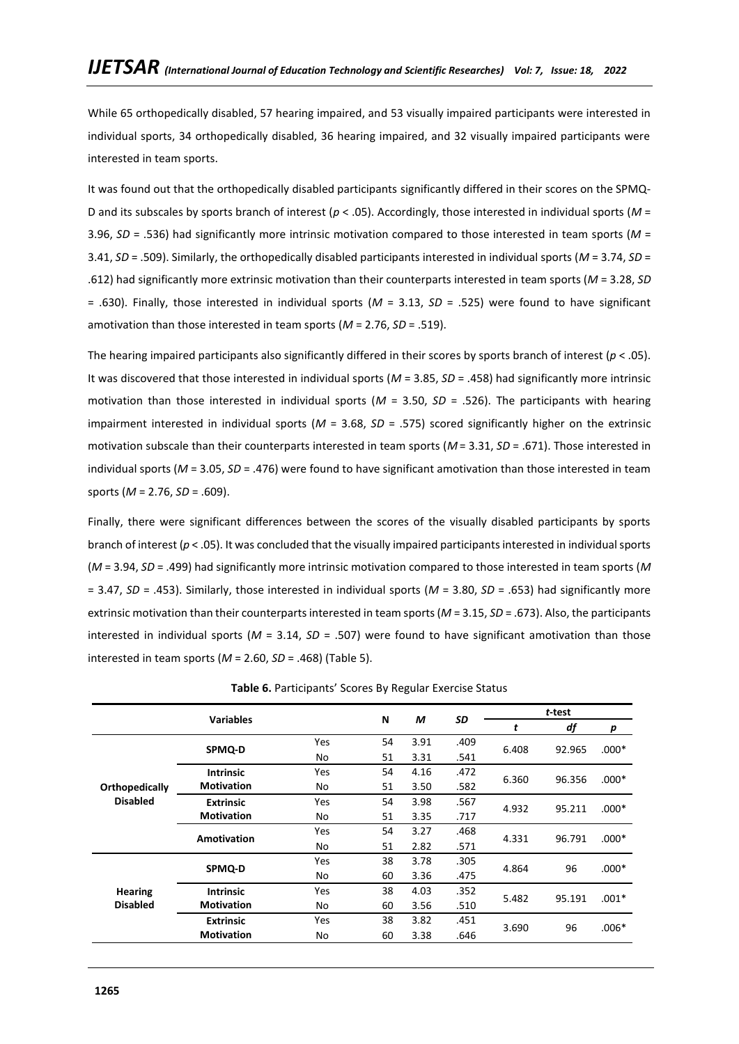While 65 orthopedically disabled, 57 hearing impaired, and 53 visually impaired participants were interested in individual sports, 34 orthopedically disabled, 36 hearing impaired, and 32 visually impaired participants were interested in team sports.

It was found out that the orthopedically disabled participants significantly differed in their scores on the SPMQ-D and its subscales by sports branch of interest (*p* < .05). Accordingly, those interested in individual sports (*M* = 3.96, *SD* = .536) had significantly more intrinsic motivation compared to those interested in team sports (*M* = 3.41, *SD* = .509). Similarly, the orthopedically disabled participants interested in individual sports (*M* = 3.74, *SD* = .612) had significantly more extrinsic motivation than their counterparts interested in team sports (*M* = 3.28, *SD* = .630). Finally, those interested in individual sports (*M* = 3.13, *SD* = .525) were found to have significant amotivation than those interested in team sports (*M* = 2.76, *SD* = .519).

The hearing impaired participants also significantly differed in their scores by sports branch of interest (*p* < .05). It was discovered that those interested in individual sports (*M* = 3.85, *SD* = .458) had significantly more intrinsic motivation than those interested in individual sports (*M* = 3.50, *SD* = .526). The participants with hearing impairment interested in individual sports (*M* = 3.68, *SD* = .575) scored significantly higher on the extrinsic motivation subscale than their counterparts interested in team sports (*M* = 3.31, *SD* = .671). Those interested in individual sports (*M* = 3.05, *SD* = .476) were found to have significant amotivation than those interested in team sports (*M* = 2.76, *SD* = .609).

Finally, there were significant differences between the scores of the visually disabled participants by sports branch of interest (*p* < .05). It was concluded that the visually impaired participants interested in individual sports (*M* = 3.94, *SD* = .499) had significantly more intrinsic motivation compared to those interested in team sports (*M* = 3.47, *SD* = .453). Similarly, those interested in individual sports (*M* = 3.80, *SD* = .653) had significantly more extrinsic motivation than their counterparts interested in team sports (*M* = 3.15, *SD* = .673). Also, the participants interested in individual sports (*M* = 3.14, *SD* = .507) were found to have significant amotivation than those interested in team sports (*M* = 2.60, *SD* = .468) (Table 5).

|                 | <b>Variables</b>   |     | N  | М    | <b>SD</b> | t-test |        |         |  |
|-----------------|--------------------|-----|----|------|-----------|--------|--------|---------|--|
|                 |                    |     |    |      |           | t      | df     | p       |  |
|                 | SPMQ-D             | Yes | 54 | 3.91 | .409      | 6.408  | 92.965 | $.000*$ |  |
|                 |                    | No  | 51 | 3.31 | .541      |        |        |         |  |
|                 | <b>Intrinsic</b>   | Yes | 54 | 4.16 | .472      | 6.360  | 96.356 | $.000*$ |  |
| Orthopedically  | <b>Motivation</b>  | No  | 51 | 3.50 | .582      |        |        |         |  |
| <b>Disabled</b> | <b>Extrinsic</b>   | Yes | 54 | 3.98 | .567      | 4.932  | 95.211 | $.000*$ |  |
|                 | <b>Motivation</b>  | No  | 51 | 3.35 | .717      |        |        |         |  |
|                 | <b>Amotivation</b> | Yes | 54 | 3.27 | .468      | 4.331  | 96.791 | $.000*$ |  |
|                 |                    | No  | 51 | 2.82 | .571      |        |        |         |  |
|                 | SPMQ-D             | Yes | 38 | 3.78 | .305      | 4.864  | 96     | $.000*$ |  |
|                 |                    | No  | 60 | 3.36 | .475      |        |        |         |  |
| <b>Hearing</b>  | <b>Intrinsic</b>   | Yes | 38 | 4.03 | .352      | 5.482  | 95.191 | $.001*$ |  |
| <b>Disabled</b> | <b>Motivation</b>  | No  | 60 | 3.56 | .510      |        |        |         |  |
|                 | <b>Extrinsic</b>   | Yes | 38 | 3.82 | .451      | 3.690  |        | $.006*$ |  |
|                 | <b>Motivation</b>  | No  | 60 | 3.38 | .646      |        | 96     |         |  |

**Table 6.** Participants' Scores By Regular Exercise Status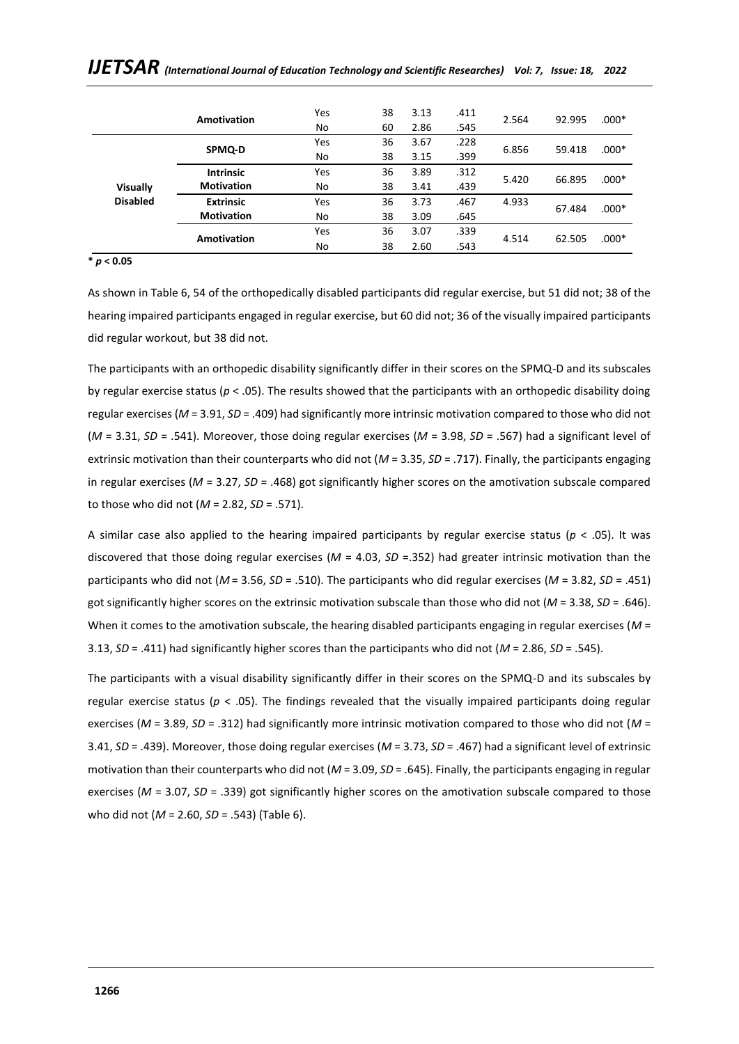|                 |                    | Yes | 38 | 3.13 | .411 |       |        | $.000*$ |
|-----------------|--------------------|-----|----|------|------|-------|--------|---------|
|                 | <b>Amotivation</b> | No  | 60 | 2.86 | .545 | 2.564 | 92.995 |         |
|                 | SPMQ-D             | Yes | 36 | 3.67 | .228 | 6.856 | 59.418 | $.000*$ |
|                 |                    | No  | 38 | 3.15 | .399 |       |        |         |
|                 | <b>Intrinsic</b>   | Yes | 36 | 3.89 | .312 | 5.420 | 66.895 | $.000*$ |
| <b>Visually</b> | <b>Motivation</b>  | No  | 38 | 3.41 | .439 |       |        |         |
| <b>Disabled</b> | <b>Extrinsic</b>   | Yes | 36 | 3.73 | .467 | 4.933 |        | $.000*$ |
|                 | <b>Motivation</b>  | No  | 38 | 3.09 | .645 |       | 67.484 |         |
|                 |                    | Yes | 36 | 3.07 | .339 | 4.514 |        | $.000*$ |
|                 | <b>Amotivation</b> | No  | 38 | 2.60 | .543 |       | 62.505 |         |

# *IJETSAR (International Journal of Education Technology and Scientific Researches) Vol: 7, Issue: 18, 2022*

**\*** *p* **< 0.05**

As shown in Table 6, 54 of the orthopedically disabled participants did regular exercise, but 51 did not; 38 of the hearing impaired participants engaged in regular exercise, but 60 did not; 36 of the visually impaired participants did regular workout, but 38 did not.

The participants with an orthopedic disability significantly differ in their scores on the SPMQ-D and its subscales by regular exercise status (*p* < .05). The results showed that the participants with an orthopedic disability doing regular exercises (*M* = 3.91, *SD* = .409) had significantly more intrinsic motivation compared to those who did not (*M* = 3.31, *SD* = .541). Moreover, those doing regular exercises (*M* = 3.98, *SD* = .567) had a significant level of extrinsic motivation than their counterparts who did not (*M* = 3.35, *SD* = .717). Finally, the participants engaging in regular exercises (*M* = 3.27, *SD* = .468) got significantly higher scores on the amotivation subscale compared to those who did not (*M* = 2.82, *SD* = .571).

A similar case also applied to the hearing impaired participants by regular exercise status (*p* < .05). It was discovered that those doing regular exercises (*M* = 4.03, *SD* =.352) had greater intrinsic motivation than the participants who did not (*M* = 3.56, *SD* = .510). The participants who did regular exercises (*M* = 3.82, *SD* = .451) got significantly higher scores on the extrinsic motivation subscale than those who did not (*M* = 3.38, *SD* = .646). When it comes to the amotivation subscale, the hearing disabled participants engaging in regular exercises ( $M =$ 3.13, *SD* = .411) had significantly higher scores than the participants who did not (*M* = 2.86, *SD* = .545).

The participants with a visual disability significantly differ in their scores on the SPMQ-D and its subscales by regular exercise status ( $p < .05$ ). The findings revealed that the visually impaired participants doing regular exercises (*M* = 3.89, *SD* = .312) had significantly more intrinsic motivation compared to those who did not (*M* = 3.41, *SD* = .439). Moreover, those doing regular exercises (*M* = 3.73, *SD* = .467) had a significant level of extrinsic motivation than their counterparts who did not (*M* = 3.09, *SD* = .645). Finally, the participants engaging in regular exercises (*M* = 3.07, *SD* = .339) got significantly higher scores on the amotivation subscale compared to those who did not (*M* = 2.60, *SD* = .543) (Table 6).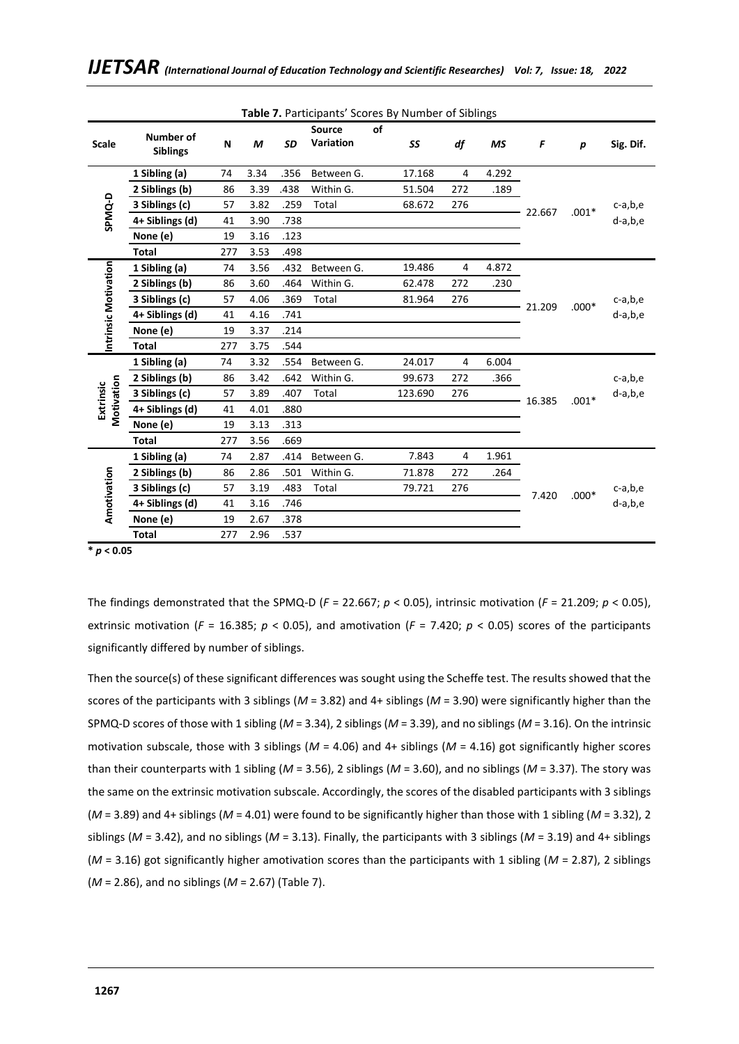|                         | Table 7. Participants' Scores By Number of Siblings |     |      |               |                  |        |         |     |        |         |         |           |  |
|-------------------------|-----------------------------------------------------|-----|------|---------------|------------------|--------|---------|-----|--------|---------|---------|-----------|--|
|                         | Number of                                           |     |      |               | <b>Source</b>    | of     |         |     |        |         |         |           |  |
| <b>Scale</b>            | <b>Siblings</b>                                     | N   | M    | <b>SD</b>     | <b>Variation</b> |        | SS      | df  | ΜS     | F       | p       | Sig. Dif. |  |
|                         |                                                     |     |      |               |                  |        |         |     |        |         |         |           |  |
|                         | 1 Sibling (a)                                       | 74  | 3.34 | .356          | Between G.       |        | 17.168  | 4   | 4.292  |         |         |           |  |
|                         | 2 Siblings (b)                                      | 86  | 3.39 | .438          | Within G.        |        | 51.504  | 272 | .189   |         |         |           |  |
|                         | 3 Siblings (c)                                      | 57  | 3.82 | .259          | Total            |        | 68.672  | 276 |        | 22.667  | $.001*$ | c-a,b,e   |  |
| SPMQ-D                  | 4+ Siblings (d)                                     | 41  | 3.90 | .738          |                  |        |         |     |        |         |         | d-a,b,e   |  |
|                         | None (e)                                            | 19  | 3.16 | .123          |                  |        |         |     |        |         |         |           |  |
|                         | <b>Total</b>                                        | 277 | 3.53 | .498          |                  |        |         |     |        |         |         |           |  |
|                         | 1 Sibling (a)                                       | 74  | 3.56 | .432          | Between G.       |        | 19.486  | 4   | 4.872  |         |         |           |  |
|                         | 2 Siblings (b)                                      | 86  | 3.60 | .464          | Within G.        |        | 62.478  | 272 | .230   |         |         |           |  |
| Intrinsic Motivation    | 3 Siblings (c)                                      | 57  | 4.06 | .369<br>Total |                  | 81.964 | 276     |     | 21.209 | $.000*$ | c-a,b,e |           |  |
|                         | 4+ Siblings (d)                                     | 41  | 4.16 | .741          |                  |        |         |     |        | d-a,b,e |         |           |  |
|                         | None (e)                                            | 19  | 3.37 | .214          |                  |        |         |     |        |         |         |           |  |
|                         | <b>Total</b>                                        | 277 | 3.75 | .544          |                  |        |         |     |        |         |         |           |  |
|                         | 1 Sibling (a)                                       | 74  | 3.32 | .554          | Between G.       |        | 24.017  | 4   | 6.004  |         |         |           |  |
|                         | 2 Siblings (b)                                      | 86  | 3.42 | .642          | Within G.        |        | 99.673  | 272 | .366   |         |         | c-a,b,e   |  |
| Motivation<br>Extrinsic | 3 Siblings (c)                                      | 57  | 3.89 | .407          | Total            |        | 123.690 | 276 |        | 16.385  | $.001*$ | d-a,b,e   |  |
|                         | 4+ Siblings (d)                                     | 41  | 4.01 | .880          |                  |        |         |     |        |         |         |           |  |
|                         | None (e)                                            | 19  | 3.13 | .313          |                  |        |         |     |        |         |         |           |  |
|                         | <b>Total</b>                                        | 277 | 3.56 | .669          |                  |        |         |     |        |         |         |           |  |
|                         | 1 Sibling (a)                                       | 74  | 2.87 | .414          | Between G.       |        | 7.843   | 4   | 1.961  |         |         |           |  |
|                         | 2 Siblings (b)                                      | 86  | 2.86 | .501          | Within G.        |        | 71.878  | 272 | .264   |         |         |           |  |
| Amotivation             | 3 Siblings (c)                                      | 57  | 3.19 | .483          | Total            |        | 79.721  | 276 |        | 7.420   | $.000*$ | c-a,b,e   |  |
|                         | 4+ Siblings (d)                                     | 41  | 3.16 | .746          |                  |        |         |     |        |         |         | d-a,b,e   |  |
|                         | None (e)                                            | 19  | 2.67 | .378          |                  |        |         |     |        |         |         |           |  |
|                         | <b>Total</b>                                        | 277 | 2.96 | .537          |                  |        |         |     |        |         |         |           |  |

**\*** *p* **< 0.05** 

The findings demonstrated that the SPMQ-D (*F* = 22.667; *p* < 0.05), intrinsic motivation (*F* = 21.209; *p* < 0.05), extrinsic motivation ( $F = 16.385$ ;  $p < 0.05$ ), and amotivation ( $F = 7.420$ ;  $p < 0.05$ ) scores of the participants significantly differed by number of siblings.

Then the source(s) of these significant differences was sought using the Scheffe test. The results showed that the scores of the participants with 3 siblings (*M* = 3.82) and 4+ siblings (*M* = 3.90) were significantly higher than the SPMQ-D scores of those with 1 sibling (*M* = 3.34), 2 siblings (*M* = 3.39), and no siblings (*M* = 3.16). On the intrinsic motivation subscale, those with 3 siblings (*M* = 4.06) and 4+ siblings (*M* = 4.16) got significantly higher scores than their counterparts with 1 sibling (*M* = 3.56), 2 siblings (*M* = 3.60), and no siblings (*M* = 3.37). The story was the same on the extrinsic motivation subscale. Accordingly, the scores of the disabled participants with 3 siblings (*M* = 3.89) and 4+ siblings (*M* = 4.01) were found to be significantly higher than those with 1 sibling (*M* = 3.32), 2 siblings ( $M = 3.42$ ), and no siblings ( $M = 3.13$ ). Finally, the participants with 3 siblings ( $M = 3.19$ ) and 4+ siblings (*M* = 3.16) got significantly higher amotivation scores than the participants with 1 sibling (*M* = 2.87), 2 siblings (*M* = 2.86), and no siblings (*M* = 2.67) (Table 7).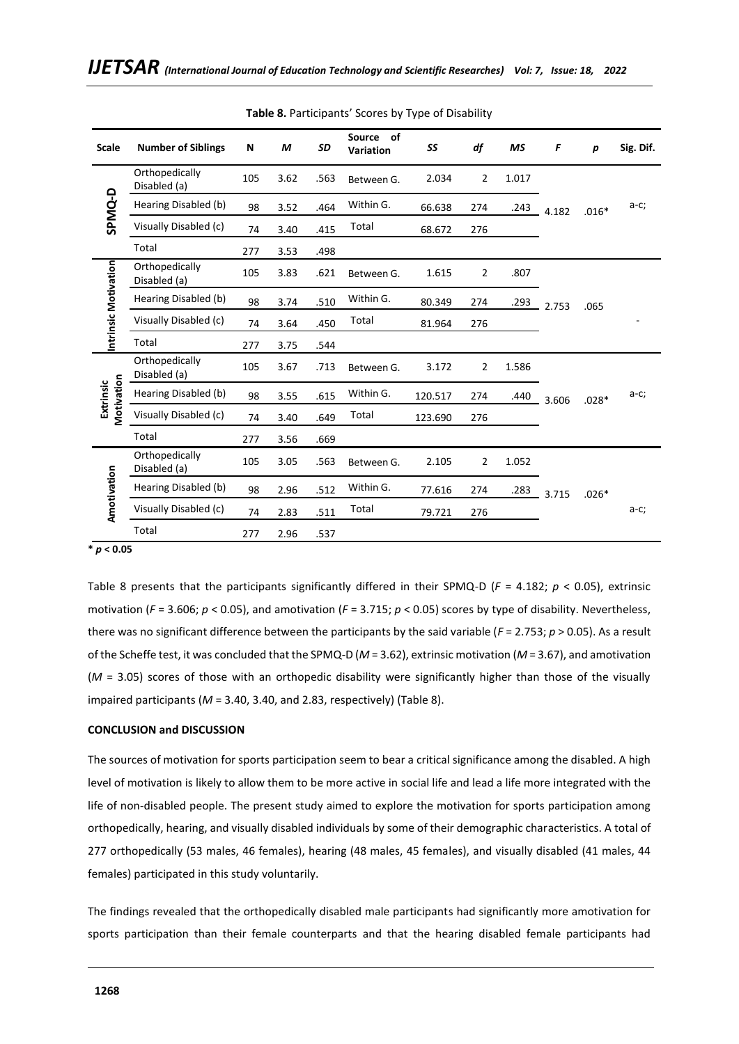|                         | $\mathbf{v}$ , articipants scores by type of Bisability |     |      |      |                        |         |                |       |       |                  |           |  |
|-------------------------|---------------------------------------------------------|-----|------|------|------------------------|---------|----------------|-------|-------|------------------|-----------|--|
| <b>Scale</b>            | <b>Number of Siblings</b>                               | N   | М    | SD   | Source of<br>Variation | SS      | df             | MS    | F     | $\boldsymbol{p}$ | Sig. Dif. |  |
|                         | Orthopedically<br>Disabled (a)                          | 105 | 3.62 | .563 | Between G.             | 2.034   | $\overline{2}$ | 1.017 |       |                  |           |  |
| SPMQ-D                  | Hearing Disabled (b)                                    | 98  | 3.52 | .464 | Within G.              | 66.638  | 274            | .243  | 4.182 | $.016*$          | $a-c;$    |  |
|                         | Visually Disabled (c)                                   | 74  | 3.40 | .415 | Total                  | 68.672  | 276            |       |       |                  |           |  |
|                         | Total                                                   | 277 | 3.53 | .498 |                        |         |                |       |       |                  |           |  |
|                         | Orthopedically<br>Disabled (a)                          | 105 | 3.83 | .621 | Between G.             | 1.615   | $\overline{2}$ | .807  |       |                  |           |  |
|                         | Hearing Disabled (b)                                    | 98  | 3.74 | .510 | Within G.              | 80.349  | 274            | .293  | 2.753 | .065             |           |  |
| Intrinsic Motivation    | Visually Disabled (c)                                   | 74  | 3.64 | .450 | Total                  | 81.964  | 276            |       |       |                  |           |  |
|                         | Total                                                   | 277 | 3.75 | .544 |                        |         |                |       |       |                  |           |  |
|                         | Orthopedically<br>Disabled (a)                          | 105 | 3.67 | .713 | Between G.             | 3.172   | $\overline{2}$ | 1.586 |       |                  |           |  |
| Motivation<br>Extrinsic | Hearing Disabled (b)                                    | 98  | 3.55 | .615 | Within G.              | 120.517 | 274            | .440  | 3.606 | $.028*$          | $a-c;$    |  |
|                         | Visually Disabled (c)                                   | 74  | 3.40 | .649 | Total                  | 123.690 | 276            |       |       |                  |           |  |
|                         | Total                                                   | 277 | 3.56 | .669 |                        |         |                |       |       |                  |           |  |
|                         | Orthopedically<br>Disabled (a)                          | 105 | 3.05 | .563 | Between G.             | 2.105   | 2              | 1.052 |       |                  |           |  |
|                         | Hearing Disabled (b)                                    | 98  | 2.96 | .512 | Within G.              | 77.616  | 274            | .283  | 3.715 | $.026*$          |           |  |
| Amotivation             | Visually Disabled (c)                                   | 74  | 2.83 | .511 | Total                  | 79.721  | 276            |       |       |                  | $a-c;$    |  |
|                         | Total                                                   | 277 | 2.96 | .537 |                        |         |                |       |       |                  |           |  |

**Table 8.** Participants' Scores by Type of Disability

## **\*** *p* **< 0.05**

Table 8 presents that the participants significantly differed in their SPMQ-D (*F* = 4.182; *p* < 0.05), extrinsic motivation (*F* = 3.606; *p* < 0.05), and amotivation (*F* = 3.715; *p* < 0.05) scores by type of disability. Nevertheless, there was no significant difference between the participants by the said variable (*F* = 2.753; *p* > 0.05). As a result of the Scheffe test, it was concluded that the SPMQ-D (*M* = 3.62), extrinsic motivation (*M* = 3.67), and amotivation (*M* = 3.05) scores of those with an orthopedic disability were significantly higher than those of the visually impaired participants (*M* = 3.40, 3.40, and 2.83, respectively) (Table 8).

#### **CONCLUSION and DISCUSSION**

The sources of motivation for sports participation seem to bear a critical significance among the disabled. A high level of motivation is likely to allow them to be more active in social life and lead a life more integrated with the life of non-disabled people. The present study aimed to explore the motivation for sports participation among orthopedically, hearing, and visually disabled individuals by some of their demographic characteristics. A total of 277 orthopedically (53 males, 46 females), hearing (48 males, 45 females), and visually disabled (41 males, 44 females) participated in this study voluntarily.

The findings revealed that the orthopedically disabled male participants had significantly more amotivation for sports participation than their female counterparts and that the hearing disabled female participants had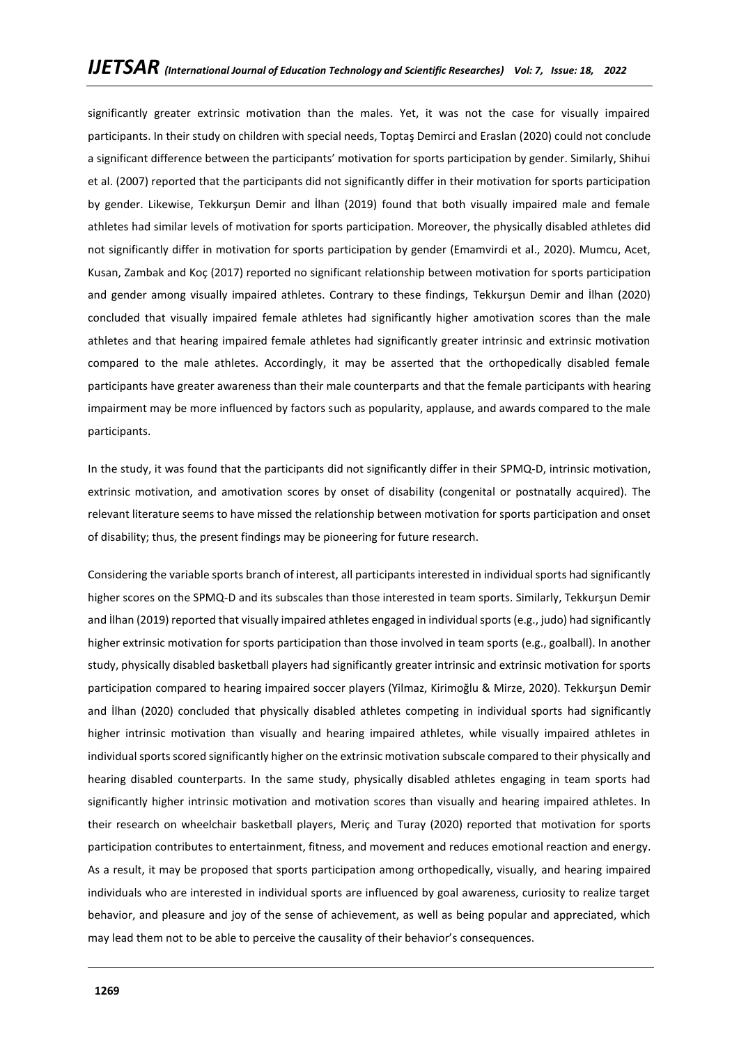significantly greater extrinsic motivation than the males. Yet, it was not the case for visually impaired participants. In their study on children with special needs, Toptaş Demirci and Eraslan (2020) could not conclude a significant difference between the participants' motivation for sports participation by gender. Similarly, Shihui et al. (2007) reported that the participants did not significantly differ in their motivation for sports participation by gender. Likewise, Tekkurşun Demir and İlhan (2019) found that both visually impaired male and female athletes had similar levels of motivation for sports participation. Moreover, the physically disabled athletes did not significantly differ in motivation for sports participation by gender (Emamvirdi et al., 2020). Mumcu, Acet, Kusan, Zambak and Koç (2017) reported no significant relationship between motivation for sports participation and gender among visually impaired athletes. Contrary to these findings, Tekkurşun Demir and İlhan (2020) concluded that visually impaired female athletes had significantly higher amotivation scores than the male athletes and that hearing impaired female athletes had significantly greater intrinsic and extrinsic motivation compared to the male athletes. Accordingly, it may be asserted that the orthopedically disabled female participants have greater awareness than their male counterparts and that the female participants with hearing impairment may be more influenced by factors such as popularity, applause, and awards compared to the male participants.

In the study, it was found that the participants did not significantly differ in their SPMQ-D, intrinsic motivation, extrinsic motivation, and amotivation scores by onset of disability (congenital or postnatally acquired). The relevant literature seems to have missed the relationship between motivation for sports participation and onset of disability; thus, the present findings may be pioneering for future research.

Considering the variable sports branch of interest, all participants interested in individual sports had significantly higher scores on the SPMQ-D and its subscales than those interested in team sports. Similarly, Tekkurşun Demir and İlhan (2019) reported that visually impaired athletes engaged in individual sports (e.g., judo) had significantly higher extrinsic motivation for sports participation than those involved in team sports (e.g., goalball). In another study, physically disabled basketball players had significantly greater intrinsic and extrinsic motivation for sports participation compared to hearing impaired soccer players (Yilmaz, Kirimoğlu & Mirze, 2020). Tekkurşun Demir and İlhan (2020) concluded that physically disabled athletes competing in individual sports had significantly higher intrinsic motivation than visually and hearing impaired athletes, while visually impaired athletes in individual sports scored significantly higher on the extrinsic motivation subscale compared to their physically and hearing disabled counterparts. In the same study, physically disabled athletes engaging in team sports had significantly higher intrinsic motivation and motivation scores than visually and hearing impaired athletes. In their research on wheelchair basketball players, Meriç and Turay (2020) reported that motivation for sports participation contributes to entertainment, fitness, and movement and reduces emotional reaction and energy. As a result, it may be proposed that sports participation among orthopedically, visually, and hearing impaired individuals who are interested in individual sports are influenced by goal awareness, curiosity to realize target behavior, and pleasure and joy of the sense of achievement, as well as being popular and appreciated, which may lead them not to be able to perceive the causality of their behavior's consequences.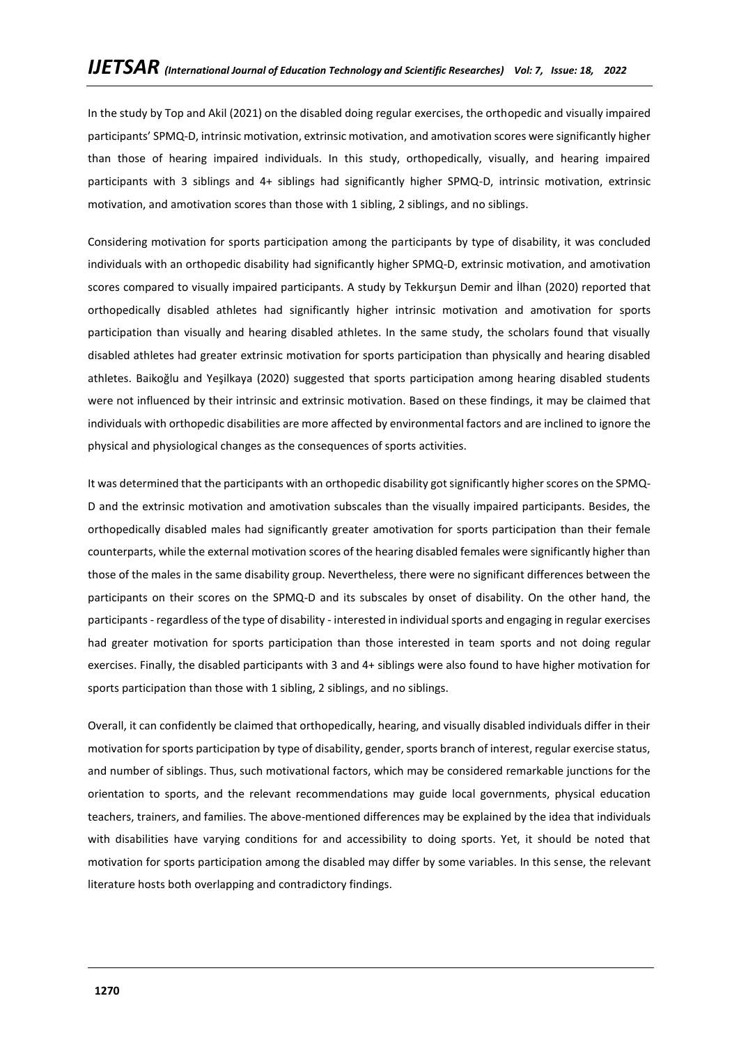In the study by Top and Akil (2021) on the disabled doing regular exercises, the orthopedic and visually impaired participants' SPMQ-D, intrinsic motivation, extrinsic motivation, and amotivation scores were significantly higher than those of hearing impaired individuals. In this study, orthopedically, visually, and hearing impaired participants with 3 siblings and 4+ siblings had significantly higher SPMQ-D, intrinsic motivation, extrinsic motivation, and amotivation scores than those with 1 sibling, 2 siblings, and no siblings.

Considering motivation for sports participation among the participants by type of disability, it was concluded individuals with an orthopedic disability had significantly higher SPMQ-D, extrinsic motivation, and amotivation scores compared to visually impaired participants. A study by Tekkurşun Demir and İlhan (2020) reported that orthopedically disabled athletes had significantly higher intrinsic motivation and amotivation for sports participation than visually and hearing disabled athletes. In the same study, the scholars found that visually disabled athletes had greater extrinsic motivation for sports participation than physically and hearing disabled athletes. Baikoğlu and Yeşilkaya (2020) suggested that sports participation among hearing disabled students were not influenced by their intrinsic and extrinsic motivation. Based on these findings, it may be claimed that individuals with orthopedic disabilities are more affected by environmental factors and are inclined to ignore the physical and physiological changes as the consequences of sports activities.

It was determined that the participants with an orthopedic disability got significantly higher scores on the SPMQ-D and the extrinsic motivation and amotivation subscales than the visually impaired participants. Besides, the orthopedically disabled males had significantly greater amotivation for sports participation than their female counterparts, while the external motivation scores of the hearing disabled females were significantly higher than those of the males in the same disability group. Nevertheless, there were no significant differences between the participants on their scores on the SPMQ-D and its subscales by onset of disability. On the other hand, the participants - regardless of the type of disability - interested in individual sports and engaging in regular exercises had greater motivation for sports participation than those interested in team sports and not doing regular exercises. Finally, the disabled participants with 3 and 4+ siblings were also found to have higher motivation for sports participation than those with 1 sibling, 2 siblings, and no siblings.

Overall, it can confidently be claimed that orthopedically, hearing, and visually disabled individuals differ in their motivation for sports participation by type of disability, gender, sports branch of interest, regular exercise status, and number of siblings. Thus, such motivational factors, which may be considered remarkable junctions for the orientation to sports, and the relevant recommendations may guide local governments, physical education teachers, trainers, and families. The above-mentioned differences may be explained by the idea that individuals with disabilities have varying conditions for and accessibility to doing sports. Yet, it should be noted that motivation for sports participation among the disabled may differ by some variables. In this sense, the relevant literature hosts both overlapping and contradictory findings.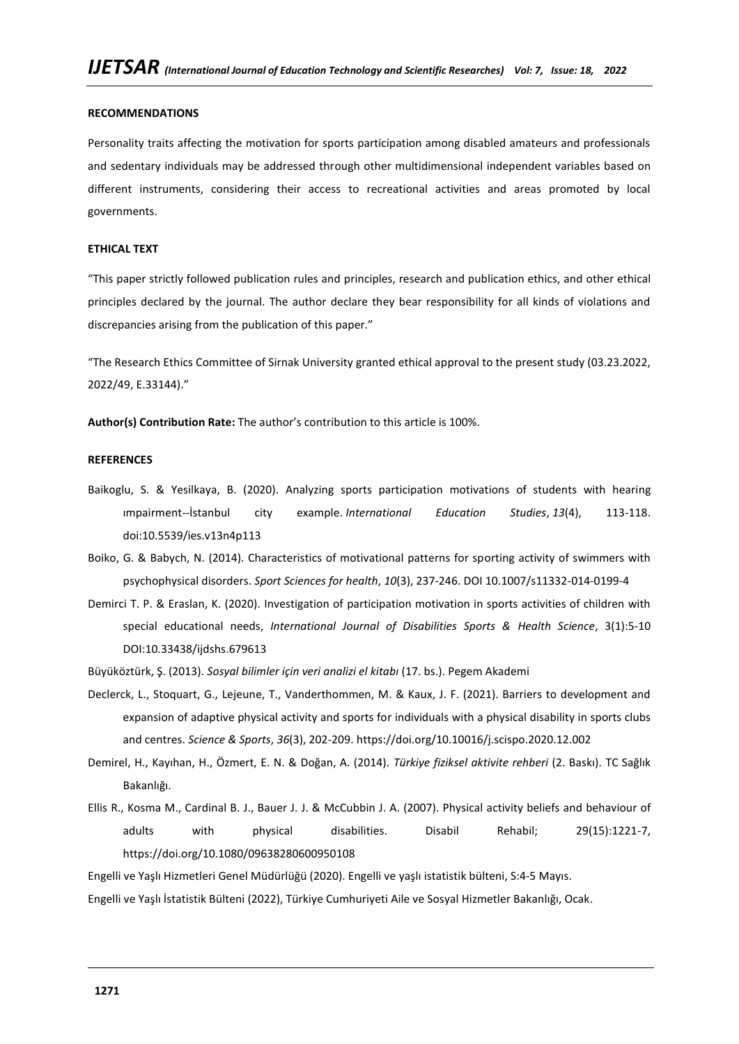#### **RECOMMENDATIONS**

Personality traits affecting the motivation for sports participation among disabled amateurs and professionals and sedentary individuals may be addressed through other multidimensional independent variables based on different instruments, considering their access to recreational activities and areas promoted by local governments.

#### **ETHICAL TEXT**

"This paper strictly followed publication rules and principles, research and publication ethics, and other ethical principles declared by the journal. The author declare they bear responsibility for all kinds of violations and discrepancies arising from the publication of this paper."

"The Research Ethics Committee of Sirnak University granted ethical approval to the present study (03.23.2022, 2022/49, E.33144)."

**Author(s) Contribution Rate:** The author's contribution to this article is 100%.

#### **REFERENCES**

- Baikoglu, S. & Yesilkaya, B. (2020). Analyzing sports participation motivations of students with hearing ımpairment--İstanbul city example. *International Education Studies*, *13*(4), 113-118. doi:10.5539/ies.v13n4p113
- Boiko, G. & Babych, N. (2014). Characteristics of motivational patterns for sporting activity of swimmers with psychophysical disorders. *Sport Sciences for health*, *10*(3), 237-246. DOI 10.1007/s11332-014-0199-4
- Demirci T. P. & Eraslan, K. (2020). Investigation of participation motivation in sports activities of children with special educational needs, *International Journal of Disabilities Sports & Health Science*, 3(1):5-10 DOI:10.33438/ijdshs.679613
- Büyüköztürk, Ş. (2013). *Sosyal bilimler için veri analizi el kitabı* (17. bs.). Pegem Akademi
- Declerck, L., Stoquart, G., Lejeune, T., Vanderthommen, M. & Kaux, J. F. (2021). Barriers to development and expansion of adaptive physical activity and sports for individuals with a physical disability in sports clubs and centres. *Science & Sports*, *36*(3), 202-209. https://doi.org/10.10016/j.scispo.2020.12.002
- Demirel, H., Kayıhan, H., Özmert, E. N. & Doğan, A. (2014). *Türkiye fiziksel aktivite rehberi* (2. Baskı). TC Sağlık Bakanlığı.
- Ellis R., Kosma M., Cardinal B. J., Bauer J. J. & McCubbin J. A. (2007). Physical activity beliefs and behaviour of adults with physical disabilities. Disabil Rehabil; 29(15):1221-7, <https://doi.org/10.1080/09638280600950108>

Engelli ve Yaşlı Hizmetleri Genel Müdürlüğü (2020). Engelli ve yaşlı istatistik bülteni, S:4-5 Mayıs.

Engelli ve Yaşlı İstatistik Bülteni (2022), Türkiye Cumhuriyeti Aile ve Sosyal Hizmetler Bakanlığı, Ocak.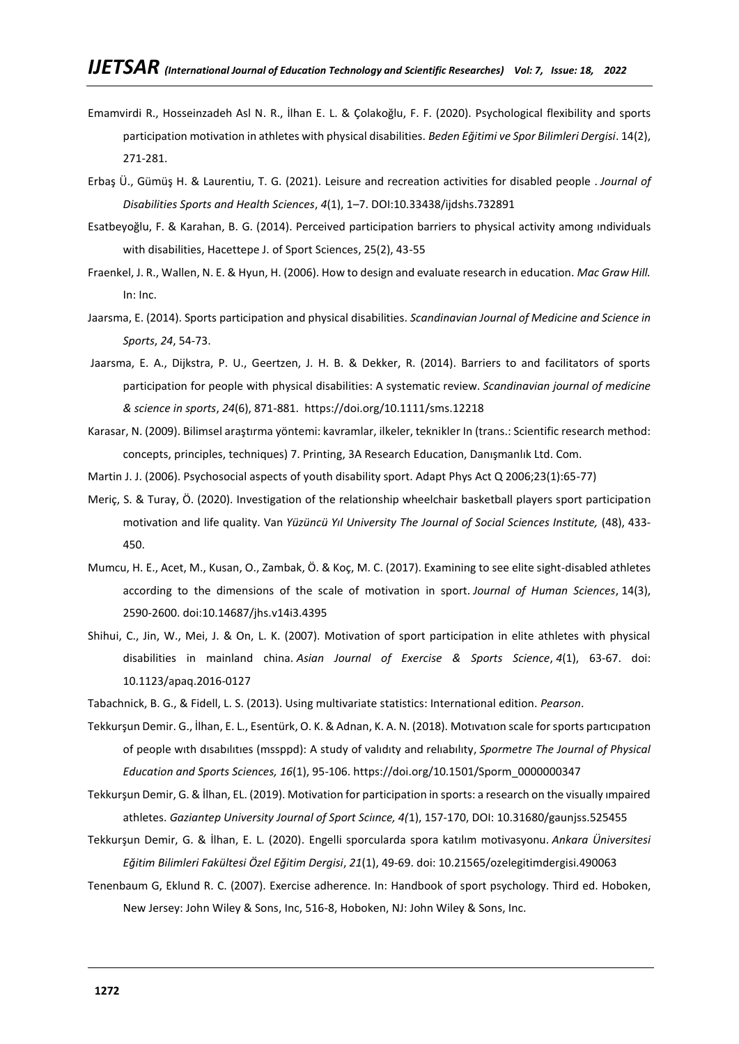- Emamvirdi R., Hosseinzadeh Asl N. R., İlhan E. L. & Çolakoğlu, F. F. (2020). Psychological flexibility and sports participation motivation in athletes with physical disabilities. *Beden Eğitimi ve Spor Bilimleri Dergisi*. 14(2), 271-281.
- Erbaş Ü., Gümüş H. & Laurentiu, T. G. (2021). Leisure and recreation activities for disabled people . *Journal of Disabilities Sports and Health Sciences*, *4*(1), 1–7. DOI:10.33438/ijdshs.732891
- Esatbeyoğlu, F. & Karahan, B. G. (2014). Perceived participation barriers to physical activity among ındividuals with disabilities, Hacettepe J. of Sport Sciences, 25(2), 43-55
- Fraenkel, J. R., Wallen, N. E. & Hyun, H. (2006). How to design and evaluate research in education. *Mac Graw Hill.*  In: Inc.
- Jaarsma, E. (2014). Sports participation and physical disabilities. *Scandinavian Journal of Medicine and Science in Sports*, *24*, 54-73.
- Jaarsma, E. A., Dijkstra, P. U., Geertzen, J. H. B. & Dekker, R. (2014). Barriers to and facilitators of sports participation for people with physical disabilities: A systematic review. *Scandinavian journal of medicine & science in sports*, *24*(6), 871-881. <https://doi.org/10.1111/sms.12218>
- Karasar, N. (2009). Bilimsel araştırma yöntemi: kavramlar, ilkeler, teknikler In (trans.: Scientific research method: concepts, principles, techniques) 7. Printing, 3A Research Education, Danışmanlık Ltd. Com.
- Martin J. J. (2006). Psychosocial aspects of youth disability sport. Adapt Phys Act Q 2006;23(1):65-77)
- Meriç, S. & Turay, Ö. (2020). Investigation of the relationship wheelchair basketball players sport participation motivation and life quality. Van *Yüzüncü Yıl University The Journal of Social Sciences Institute,* (48), 433- 450.
- Mumcu, H. E., Acet, M., Kusan, O., Zambak, Ö. & Koç, M. C. (2017). Examining to see elite sight-disabled athletes according to the dimensions of the scale of motivation in sport. *Journal of Human Sciences*, 14(3), 2590-2600. doi:10.14687/jhs.v14i3.4395
- Shihui, C., Jin, W., Mei, J. & On, L. K. (2007). Motivation of sport participation in elite athletes with physical disabilities in mainland china. *Asian Journal of Exercise & Sports Science*, *4*(1), 63-67. doi: 10.1123/apaq.2016-0127

Tabachnick, B. G., & Fidell, L. S. (2013). Using multivariate statistics: International edition. *Pearson*.

- Tekkurşun Demir. G., İlhan, E. L., Esentürk, O. K. & Adnan, K. A. N. (2018). Motıvatıon scale for sports partıcıpatıon of people wıth dısabılıtıes (mssppd): A study of valıdıty and relıabılıty, *Spormetre The Journal of Physical Education and Sports Sciences, 16*(1), 95-106. [https://doi.org/10.1501/Sporm\\_0000000347](https://doi.org/10.1501/Sporm_0000000347)
- Tekkurşun Demir, G. & İlhan, EL. (2019). Motivation for participation in sports: a research on the visually ımpaired athletes. *Gaziantep University Journal of Sport Sciınce, 4(*1), 157-170, DOI: 10.31680/gaunjss.525455
- Tekkurşun Demir, G. & İlhan, E. L. (2020). Engelli sporcularda spora katılım motivasyonu. *Ankara Üniversitesi Eğitim Bilimleri Fakültesi Özel Eğitim Dergisi*, *21*(1), 49-69. doi: 10.21565/ozelegitimdergisi.490063
- Tenenbaum G, Eklund R. C. (2007). Exercise adherence. In: Handbook of sport psychology. Third ed. Hoboken, New Jersey: John Wiley & Sons, Inc, 516-8, Hoboken, NJ: John Wiley & Sons, Inc.